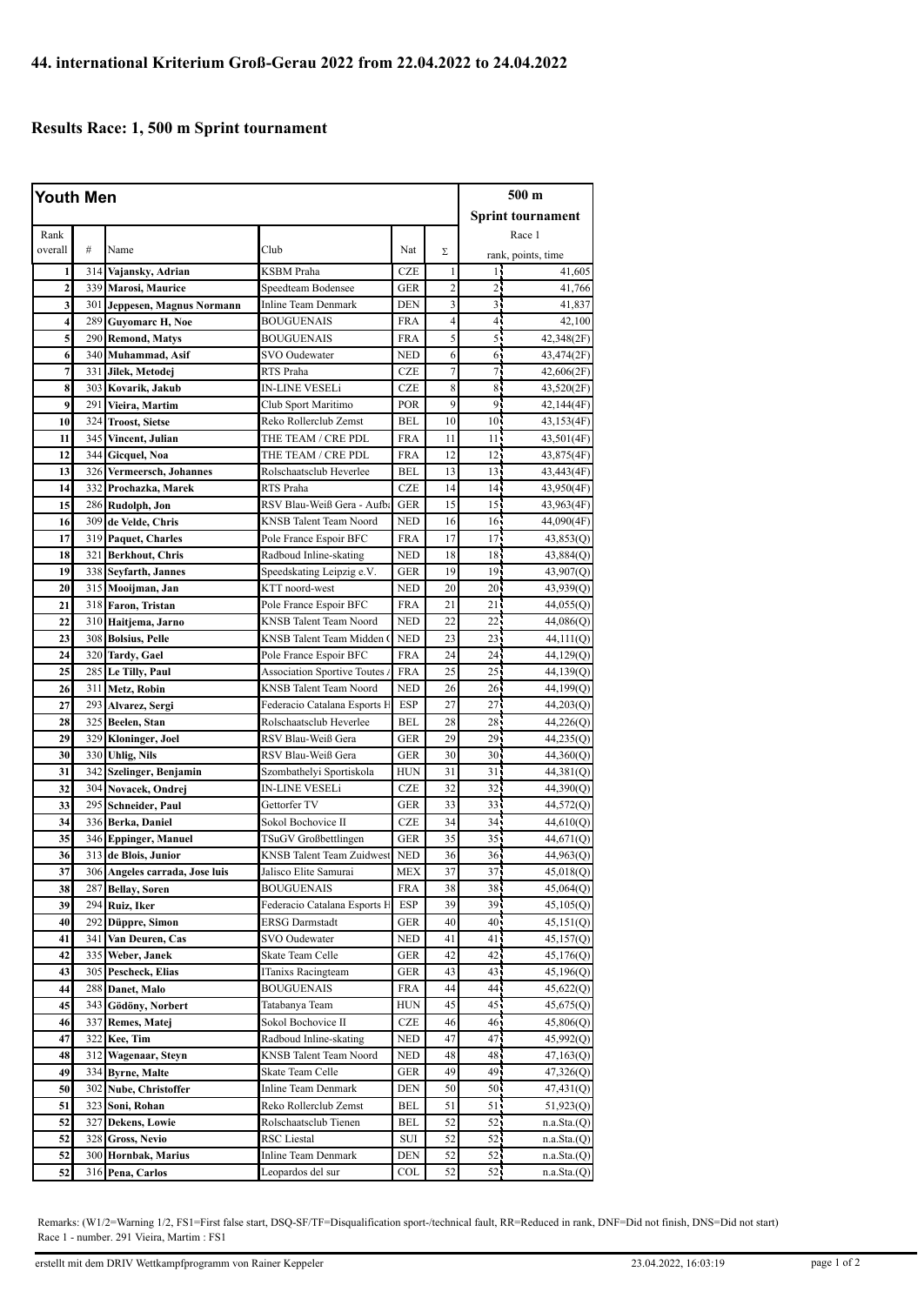## **Results Race: 1, 500 m Sprint tournament**

| <b>Youth Men</b> |     |                                     |                                                         |            |                         |                 | 500 m                    |  |
|------------------|-----|-------------------------------------|---------------------------------------------------------|------------|-------------------------|-----------------|--------------------------|--|
|                  |     |                                     |                                                         |            |                         |                 | <b>Sprint tournament</b> |  |
| Rank             |     |                                     |                                                         |            |                         |                 | Race 1                   |  |
| overall          | #   | Name                                | Club                                                    | Nat        | Σ                       |                 | rank, points, time       |  |
| 1                | 314 | Vajansky, Adrian                    | KSBM Praha                                              | <b>CZE</b> | $\mathbf{1}$            | 14              | 41,605                   |  |
| $\mathbf{2}$     | 339 | Marosi, Maurice                     | Speedteam Bodensee                                      | <b>GER</b> | $\overline{c}$          | 25              | 41,766                   |  |
| 3                | 301 | Jeppesen, Magnus Normann            | Inline Team Denmark                                     | <b>DEN</b> | $\overline{\mathbf{3}}$ | $\overline{3}$  | 41,837                   |  |
| 4                | 289 | <b>Guyomarc H, Noe</b>              | <b>BOUGUENAIS</b>                                       | FRA        | $\overline{4}$          | 41              | 42,100                   |  |
| 5                | 290 | <b>Remond, Matys</b>                | BOUGUENAIS                                              | <b>FRA</b> | 5                       | 51              | 42,348(2F)               |  |
| 6                | 340 | Muhammad, Asif                      | SVO Oudewater                                           | <b>NED</b> | 6                       | 6               | 43,474(2F)               |  |
| 7                | 331 | Jilek, Metodej                      | RTS Praha                                               | <b>CZE</b> | 7                       | 71              | 42,606(2F)               |  |
| 8                | 303 | Kovarik, Jakub                      | <b>IN-LINE VESELi</b>                                   | <b>CZE</b> | 8                       | 85              | 43,520(2F)               |  |
| 9                | 291 | Vieira, Martim                      | Club Sport Maritimo                                     | <b>POR</b> | 9                       | 9 <sub>1</sub>  | 42,144(4F)               |  |
| 10               | 324 | <b>Troost, Sietse</b>               | Reko Rollerclub Zemst                                   | <b>BEL</b> | 10                      | 10 <sub>1</sub> | 43,153(4F)               |  |
| 11               | 345 | Vincent, Julian                     | THE TEAM / CRE PDL                                      | FRA        | 11                      | 11.5            | 43,501(4F)               |  |
| 12               | 344 | Gicquel, Noa                        | THE TEAM / CRE PDL                                      | <b>FRA</b> | 12                      | 12 <sub>1</sub> | 43,875(4F)               |  |
| 13               | 326 | <b>Vermeersch, Johannes</b>         | Rolschaatsclub Heverlee                                 | <b>BEL</b> | 13                      | 13 <sup>1</sup> | 43,443(4F)               |  |
| 14               | 332 | Prochazka, Marek                    | RTS Praha                                               | <b>CZE</b> | 14                      | 14 <sub>1</sub> | 43,950(4F)               |  |
| 15               |     | 286 Rudolph, Jon                    | RSV Blau-Weiß Gera - Aufba                              | GER        | 15                      | 15 <sup>1</sup> | 43,963(4F)               |  |
| 16               | 309 | de Velde, Chris                     | KNSB Talent Team Noord                                  | <b>NED</b> | 16                      | 16 <sup>1</sup> | 44,090(4F)               |  |
| 17               | 319 | <b>Paquet, Charles</b>              | Pole France Espoir BFC                                  | <b>FRA</b> | 17                      | 17.             | 43,853(Q)                |  |
| 18               | 321 | <b>Berkhout, Chris</b>              | Radboud Inline-skating                                  | <b>NED</b> | 18                      | 18              | 43,884 <sub>(Q)</sub>    |  |
| 19               | 338 | Sevfarth, Jannes                    | Speedskating Leipzig e.V.                               | GER        | 19                      | 19 <sub>1</sub> | 43,907(Q)                |  |
| 20               |     | 315 Mooijman, Jan                   | KTT noord-west                                          | <b>NED</b> | 20                      | 20 <sub>1</sub> | 43,939(Q)                |  |
| 21               |     | 318 Faron, Tristan                  | Pole France Espoir BFC                                  | <b>FRA</b> | 21                      | 21              | 44,055(Q)                |  |
| 22               | 310 | Haitjema, Jarno                     | KNSB Talent Team Noord                                  | <b>NED</b> | 22                      | 22              | 44,086(Q)                |  |
| 23               |     | 308 Bolsius, Pelle                  | KNSB Talent Team Midden (                               | <b>NED</b> | 23                      | $23 -$          | 44,111(Q)                |  |
| 24               |     | 320 Tardy, Gael                     | Pole France Espoir BFC                                  | <b>FRA</b> | 24                      | 24              | 44,129(Q)                |  |
| 25               |     | 285 Le Tilly, Paul                  | <b>Association Sportive Toutes A</b>                    | <b>FRA</b> | 25                      | $25^{\circ}$    | 44,139(Q)                |  |
| 26               | 311 | Metz, Robin                         | KNSB Talent Team Noord                                  | <b>NED</b> | 26                      | 26 <sub>1</sub> | 44,199(Q)                |  |
| 27               | 293 | Alvarez, Sergi                      | Federacio Catalana Esports H                            | ESP        | 27                      | $27^{-}$        | 44,203(Q)                |  |
| 28               | 325 | Beelen, Stan                        | Rolschaatsclub Heverlee                                 | <b>BEL</b> | 28                      | 28              | 44,226(Q)                |  |
| 29               | 329 | Kloninger, Joel                     | RSV Blau-Weiß Gera                                      | <b>GER</b> | 29                      | $29 -$          | 44,235(Q)                |  |
| 30               | 330 | <b>Uhlig, Nils</b>                  | RSV Blau-Weiß Gera                                      | <b>GER</b> | 30                      | 30 <sub>1</sub> | 44,360(Q)                |  |
| 31               | 342 | Szelinger, Benjamin                 | Szombathelyi Sportiskola                                | <b>HUN</b> | 31                      | 31              | 44,381 <sub>(Q)</sub>    |  |
| 32               | 304 | Novacek, Ondrej                     | IN-LINE VESELi                                          | <b>CZE</b> | 32                      | 32              | 44,390(Q)                |  |
| 33               | 295 | Schneider, Paul                     | Gettorfer TV                                            | GER        | 33                      | $33 -$          | 44,572(Q)                |  |
| 34               | 336 | Berka, Daniel                       | Sokol Bochovice II                                      | <b>CZE</b> | 34                      | 34              | 44,610(Q)                |  |
| 35               |     | 346 Eppinger, Manuel                | TSuGV Großbettlingen                                    | <b>GER</b> | 35                      | 35 <sub>1</sub> | 44,671(Q)                |  |
| 36               | 313 | de Blois, Junior                    | <b>KNSB</b> Talent Team Zuidwest                        | <b>NED</b> | 36                      | 36.             | 44,963(Q)                |  |
| 37               |     | 306 Angeles carrada, Jose luis      | Jalisco Elite Samurai                                   | MEX        | 37                      | 37 <sub>1</sub> | 45,018(Q)                |  |
| 38               |     | 287 Bellay, Soren                   | <b>BOUGUENAIS</b>                                       | FRA        | 38                      | 38.             | 45,064(Q)                |  |
| 39               | 294 | Ruiz, Iker                          | Federacio Catalana Esports H                            | <b>ESP</b> | 39                      | 39              | 45,105(Q)                |  |
| 40               |     | 292 Düppre, Simon                   | <b>ERSG</b> Darmstadt                                   | GER        | 40                      | 40              | 45,151(Q)                |  |
| 41               | 341 | Van Deuren, Cas                     | <b>SVO</b> Oudewater                                    | NED        | 41                      | 41,             | 45,157(Q)                |  |
| 42               | 335 | Weber, Janek                        | Skate Team Celle                                        | GER        | 42<br>43                | 42.             | 45,176(Q)                |  |
| 43               | 305 | Pescheck, Elias                     | ITanixs Racingteam                                      | GER        |                         | 43              | 45,196(Q)                |  |
| 44               |     | 288 Danet, Malo                     | <b>BOUGUENAIS</b>                                       | FRA        | 44                      | 44              | 45,622(Q)                |  |
| 45               |     | 343 Gödöny, Norbert                 | Tatabanya Team                                          | HUN        | 45                      | 45.             | 45,675(Q)                |  |
| 46               | 337 | Remes, Matej                        | Sokol Bochovice II                                      | CZE        | 46                      | 46.             | 45,806(Q)                |  |
| 47               |     | 322 Kee, Tim                        | Radboud Inline-skating<br><b>KNSB</b> Talent Team Noord | NED        | 47                      | 47.             | 45,992(Q)                |  |
| 48<br>49         | 312 | Wagenaar, Steyn<br>334 Byrne, Malte | Skate Team Celle                                        | NED<br>GER | 48<br>49                | 48.<br>49       | 47,163(Q)                |  |
|                  |     |                                     | Inline Team Denmark                                     |            |                         | 50.             | 47,326(Q)                |  |
| 50               |     | 302 Nube, Christoffer               |                                                         | <b>DEN</b> | 50                      |                 | 47,431 <sub>(Q)</sub>    |  |
| 51               | 323 | Soni, Rohan                         | Reko Rollerclub Zemst<br>Rolschaatsclub Tienen          | BEL        | 51<br>52                | 51,             | 51,923(Q)                |  |
| 52<br>52         | 327 | Dekens, Lowie                       |                                                         | BEL        |                         | 52.             | n.a.Sta.(Q)              |  |
|                  | 328 | Gross, Nevio                        | RSC Liestal                                             | SUI        | 52                      | 52 <sub>1</sub> | n.a.Sta.(Q)              |  |
| 52               | 300 | Hornbak, Marius                     | Inline Team Denmark                                     | DEN        | 52<br>52                | 52 <sub>1</sub> | n.a.Sta.(Q)              |  |
| 52               | 316 | Pena, Carlos                        | Leopardos del sur                                       | COL        |                         | 52.             | n.a.Sta.(Q)              |  |

Remarks: (W1/2=Warning 1/2, FS1=First false start, DSQ-SF/TF=Disqualification sport-/technical fault, RR=Reduced in rank, DNF=Did not finish, DNS=Did not start) Race 1 - number. 291 Vieira, Martim : FS1